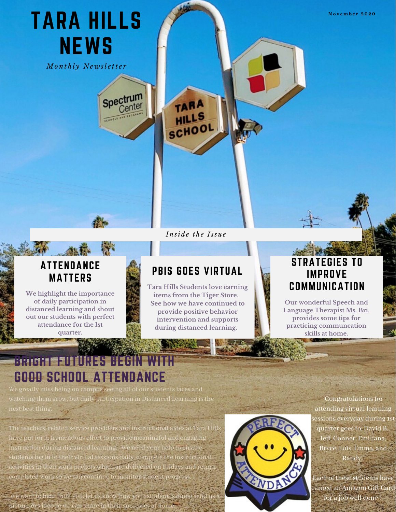

We want to hear from you. let us know how you picture or video so we can share in their successes at hor



essions everyday during <mark>1</mark>st quarter goes to, David B. Jeff, Conner, Emiliana, Bryce, Luis, Emma, and

earned an Amazon Gift Card for a job well done !